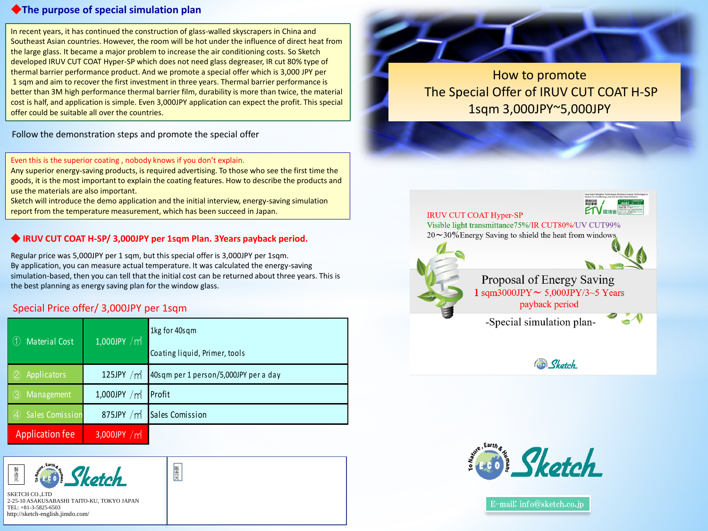## ◆**The purpose of special simulation plan**

In recent years, it has continued the construction of glass-walled skyscrapers in China and Southeast Asian countries. However, the room will be hot under the influence of direct heat from the large glass. It became a major problem to increase the air conditioning costs. So Sketch developed IRUV CUT COAT Hyper-SP which does not need glass degreaser, IR cut 80% type of thermal barrier performance product. And we promote a special offer which is 3,000 JPY per 1 sqm and aim to recover the first investment in three years. Thermal barrier performance is better than 3M high performance thermal barrier film, durability is more than twice, the material cost is half, and application is simple. Even 3,000JPY application can expect the profit. This special offer could be suitable all over the countries.

Follow the demonstration steps and promote the special offer

### Even this is the superior coating , nobody knows if you don't explain.

Any superior energy-saving products, is required advertising. To those who see the first time the goods, it is the most important to explain the coating features. How to describe the products and use the materials are also important.

Sketch will introduce the demo application and the initial interview, energy-saving simulation report from the temperature measurement, which has been succeed in Japan.

# ◆ **IRUV CUT COAT H-SP/ 3,000JPY per 1sqm Plan. 3Years payback period.**

Regular price was 5,000JPY per 1 sqm, but this special offer is 3,000JPY per 1sqm. By application, you can measure actual temperature. It was calculated the energy-saving simulation-based, then you can tell that the initial cost can be returned about three years. This is the best planning as energy saving plan for the window glass.

| Special Price offer/ 3,000JPY per 1sqm |                             |                                       |
|----------------------------------------|-----------------------------|---------------------------------------|
| Material Cost<br>(1)                   | $1,000$ JPY /m <sup>2</sup> | 1kg for 40sqm                         |
|                                        |                             | Coating liquid, Primer, tools         |
| Applicators                            | 125JPY $/m2$                | 40sqm per 1 person/5,000JPY per a day |
| Management<br>$\left( 3\right)$        | 1,000JPY $/m2$              | Profit                                |
| <b>Sales Comission</b>                 | 875JPY $/m2$                | Sales Comission                       |
| <b>Application fee</b>                 | 3,000JPY $/m^2$             |                                       |

販 売 元



SKETCH CO.,LTD 2-25-10 ASAKUSABASHI TAITO-KU, TOKYO JAPAN TEL: +81-3-5825-6503 http://sketch-english.jimdo.com/



How to promote The Special Offer of IRUV CUT COAT H-SP 1sqm 3,000JPY~5,000JPY







E-mail: info@sketch.co.jp